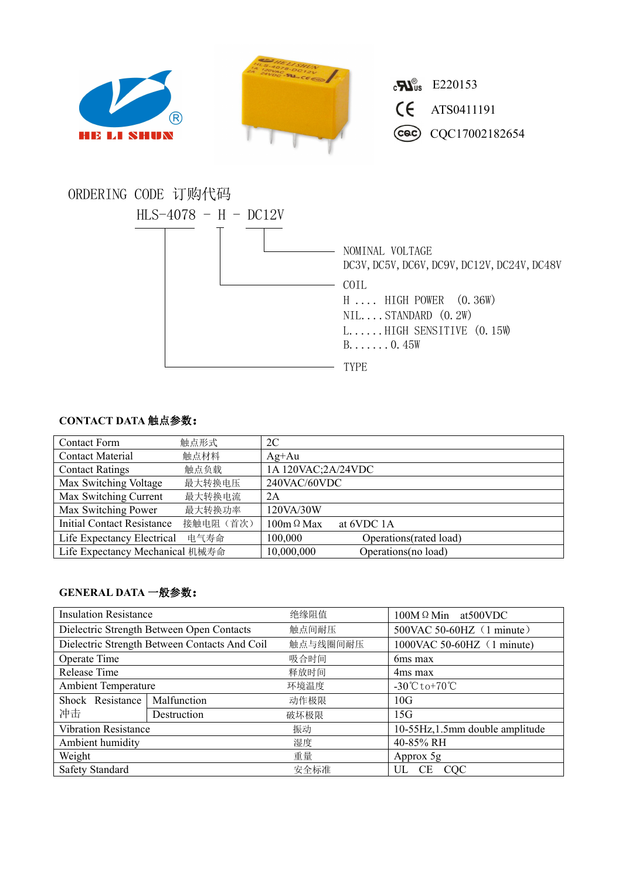

## **CONTACT DATA** 触点参数:

| <b>Contact Form</b>               | 触点形式      | 2C                 |                        |  |
|-----------------------------------|-----------|--------------------|------------------------|--|
| <b>Contact Material</b>           | 触点材料      | $Ag+Au$            |                        |  |
| <b>Contact Ratings</b>            | 触点负载      | 1A 120VAC;2A/24VDC |                        |  |
| Max Switching Voltage             | 最大转换电压    | 240VAC/60VDC       |                        |  |
| Max Switching Current             | 最大转换电流    | 2A                 |                        |  |
| Max Switching Power               | 最大转换功率    | 120VA/30W          |                        |  |
| <b>Initial Contact Resistance</b> | 接触电阻 (首次) | $100m \Omega$ Max  | at 6VDC 1A             |  |
| Life Expectancy Electrical        | 电气寿命      | 100,000            | Operations(rated load) |  |
| Life Expectancy Mechanical 机械寿命   |           | 10,000,000         | Operations(no load)    |  |

## **GENERAL DATA** 一般参数:

| <b>Insulation Resistance</b>                  |             | 绝缘阻值     | $100M \Omega$ Min at 500 VDC                    |  |
|-----------------------------------------------|-------------|----------|-------------------------------------------------|--|
| Dielectric Strength Between Open Contacts     |             | 触点间耐压    | 500VAC 50-60HZ (1 minute)                       |  |
| Dielectric Strength Between Contacts And Coil |             | 触点与线圈间耐压 | 1000VAC 50-60HZ (1 minute)                      |  |
| Operate Time                                  |             | 吸合时间     | 6ms max                                         |  |
| Release Time                                  |             | 释放时间     | 4ms max                                         |  |
| <b>Ambient Temperature</b>                    |             | 环境温度     | $-30^{\circ}\text{C}$ to +70 $^{\circ}\text{C}$ |  |
| Shock Resistance                              | Malfunction | 动作极限     | 10G                                             |  |
| 冲击                                            | Destruction | 破坏极限     | 15G                                             |  |
| <b>Vibration Resistance</b>                   |             | 振动       | 10-55Hz, 1.5mm double amplitude                 |  |
| Ambient humidity                              |             | 湿度       | 40-85% RH                                       |  |
| Weight                                        |             | 重量       | Approx 5g                                       |  |
| Safety Standard                               |             | 安全标准     | UL CE CQC                                       |  |